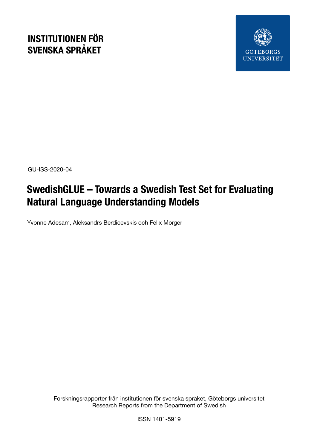## **INSTITUTIONEN FÖR SVENSKA SPRÅKET**



GU-ISS-2020-04

# **SwedishGLUE – Towards a Swedish Test Set for Evaluating Natural Language Understanding Models**

Yvonne Adesam, Aleksandrs Berdicevskis och Felix Morger

Forskningsrapporter från institutionen för svenska språket, Göteborgs universitet Research Reports from the Department of Swedish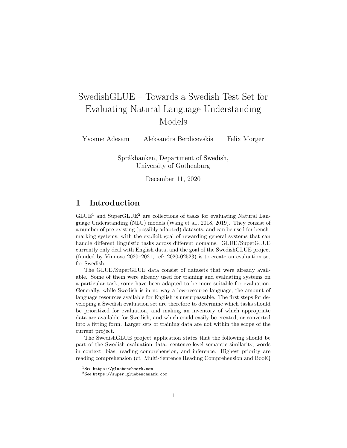## SwedishGLUE – Towards a Swedish Test Set for Evaluating Natural Language Understanding Models

Yvonne Adesam Aleksandrs Berdicevskis Felix Morger

Språkbanken, Department of Swedish, University of Gothenburg

December 11, 2020

## 1 Introduction

 $GLUE<sup>1</sup>$  and SuperGLUE<sup>2</sup> are collections of tasks for evaluating Natural Language Understanding (NLU) models (Wang et al., 2018, 2019). They consist of a number of pre-existing (possibly adapted) datasets, and can be used for benchmarking systems, with the explicit goal of rewarding general systems that can handle different linguistic tasks across different domains. GLUE/SuperGLUE currently only deal with English data, and the goal of the SwedishGLUE project (funded by Vinnova 2020–2021, ref: 2020-02523) is to create an evaluation set for Swedish.

The GLUE/SuperGLUE data consist of datasets that were already available. Some of them were already used for training and evaluating systems on a particular task, some have been adapted to be more suitable for evaluation. Generally, while Swedish is in no way a low-resource language, the amount of language resources available for English is unsurpassable. The first steps for developing a Swedish evaluation set are therefore to determine which tasks should be prioritized for evaluation, and making an inventory of which appropriate data are available for Swedish, and which could easily be created, or converted into a fitting form. Larger sets of training data are not within the scope of the current project.

The SwedishGLUE project application states that the following should be part of the Swedish evaluation data: sentence-level semantic similarity, words in context, bias, reading comprehension, and inference. Highest priority are reading comprehension (cf. Multi-Sentence Reading Comprehension and BoolQ

 $1$ See https://gluebenchmark.com

<sup>2</sup>See https://super.gluebenchmark.com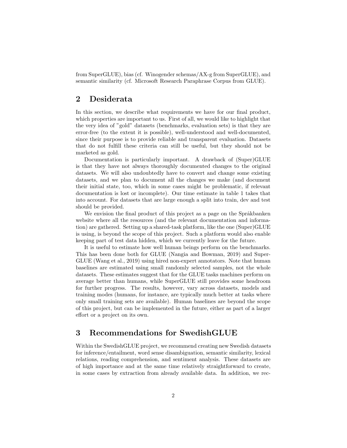from SuperGLUE), bias (cf. Winogender schemas/AX-g from SuperGLUE), and semantic similarity (cf. Microsoft Research Paraphrase Corpus from GLUE).

## 2 Desiderata

In this section, we describe what requirements we have for our final product, which properties are important to us. First of all, we would like to highlight that the very idea of "gold" datasets (benchmarks, evaluation sets) is that they are error-free (to the extent it is possible), well-understood and well-documented, since their purpose is to provide reliable and transparent evaluation. Datasets that do not fulfill these criteria can still be useful, but they should not be marketed as gold.

Documentation is particularly important. A drawback of (Super)GLUE is that they have not always thoroughly documented changes to the original datasets. We will also undoubtedly have to convert and change some existing datasets, and we plan to document all the changes we make (and document their initial state, too, which in some cases might be problematic, if relevant documentation is lost or incomplete). Our time estimate in table 1 takes that into account. For datasets that are large enough a split into train, dev and test should be provided.

We envision the final product of this project as a page on the Språkbanken website where all the resources (and the relevant documentation and information) are gathered. Setting up a shared-task platform, like the one (Super)GLUE is using, is beyond the scope of this project. Such a platform would also enable keeping part of test data hidden, which we currently leave for the future.

It is useful to estimate how well human beings perform on the benchmarks. This has been done both for GLUE (Nangia and Bowman, 2019) and Super-GLUE (Wang et al., 2019) using hired non-expert annotators. Note that human baselines are estimated using small randomly selected samples, not the whole datasets. These estimates suggest that for the GLUE tasks machines perform on average better than humans, while SuperGLUE still provides some headroom for further progress. The results, however, vary across datasets, models and training modes (humans, for instance, are typically much better at tasks where only small training sets are available). Human baselines are beyond the scope of this project, but can be implemented in the future, either as part of a larger effort or a project on its own.

## 3 Recommendations for SwedishGLUE

Within the SwedishGLUE project, we recommend creating new Swedish datasets for inference/entailment, word sense disambiguation, semantic similarity, lexical relations, reading comprehension, and sentiment analysis. These datasets are of high importance and at the same time relatively straightforward to create, in some cases by extraction from already available data. In addition, we rec-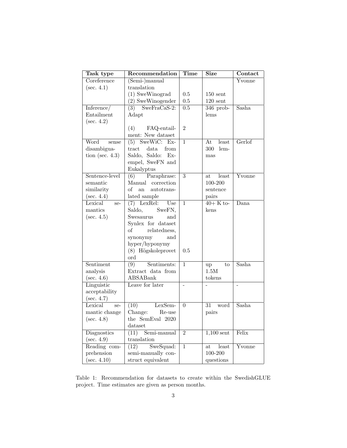| Task type            | Recommendation                                                                                                   | Time             | <b>Size</b>                     | Contact                    |
|----------------------|------------------------------------------------------------------------------------------------------------------|------------------|---------------------------------|----------------------------|
| Coreference          | (Semi-)manual                                                                                                    |                  |                                 | Yvonne                     |
| $(\text{sec. } 4.1)$ | translation                                                                                                      |                  |                                 |                            |
|                      | $(1)$ SweWinograd                                                                                                | 0.5              | $150$ sent                      |                            |
|                      | (2) SweWinogender                                                                                                | 0.5              | $120$ sent                      |                            |
| Inference/           | $(3)$ SweFraCaS-2:                                                                                               | $\overline{0.5}$ | $346$ prob-                     | Sasha                      |
| Entailment           | Adapt                                                                                                            |                  | lems                            |                            |
| $(\sec. 4.2)$        |                                                                                                                  |                  |                                 |                            |
|                      | (4)<br>FAQ-entail-                                                                                               | $\overline{2}$   |                                 |                            |
|                      | ment: New dataset                                                                                                |                  |                                 |                            |
| Word<br>sense        | SweWiC:<br>(5)<br>$Ex-$                                                                                          | $\mathbf 1$      | At<br>least                     | Gerlof                     |
| disambigua-          | from<br>tract<br>data                                                                                            |                  | 300<br>lem-                     |                            |
| tion (sec. $4.3$ )   | Saldo, Saldo:<br>$Ex-$                                                                                           |                  | mas                             |                            |
|                      | empel, SweFN and                                                                                                 |                  |                                 |                            |
|                      | Eukalyptus                                                                                                       |                  |                                 |                            |
| Sentence-level       | Paraphrase:<br>(6)                                                                                               | $\overline{3}$   | least<br>at                     | $\overline{\text{Yvonne}}$ |
| semantic             | Manual correction                                                                                                |                  | 100-200                         |                            |
| similarity           | of<br>an<br>autotrans-                                                                                           |                  | sentence                        |                            |
| $(\text{sec. } 4.4)$ | lated sample                                                                                                     |                  | pairs                           |                            |
| Lexical<br>se-       | $(7)$ LexRel:<br>Use                                                                                             | $\mathbf{1}$     | $40+$ K to-                     | Dana                       |
| mantics              | Saldo,<br>SweFN,                                                                                                 |                  | kens                            |                            |
| $(\sec. 4.5)$        | Swesaurus<br>and                                                                                                 |                  |                                 |                            |
|                      | Synlex for dataset                                                                                               |                  |                                 |                            |
|                      | $\sigma$<br>relatedness,                                                                                         |                  |                                 |                            |
|                      | synonymy<br>and                                                                                                  |                  |                                 |                            |
|                      | hyper/hyponymy                                                                                                   |                  |                                 |                            |
|                      | (8) Högskoleprovet                                                                                               | 0.5              |                                 |                            |
|                      | $\operatorname*{ord}% \left( \mathcal{M}\right) \equiv\operatorname*{ord}(\mathcal{M})\left( \mathcal{M}\right)$ |                  |                                 |                            |
| Sentiment            | $\overline{(9)}$<br>Sentiments:                                                                                  | $\overline{1}$   | to<br>up                        | Sasha                      |
| analysis             | Extract data from                                                                                                |                  | 1.5M                            |                            |
| $(\text{sec. } 4.6)$ | ABSABank                                                                                                         |                  | tokens                          |                            |
| Linguistic           | Leave for later                                                                                                  | $\overline{a}$   |                                 | $\overline{a}$             |
| acceptability        |                                                                                                                  |                  |                                 |                            |
| $(\sec. 4.7)$        |                                                                                                                  |                  |                                 |                            |
| Lexical<br>se-       | (10)<br>LexSem-                                                                                                  | $\theta$         | 31<br>word                      | Sasha                      |
| mantic change        | Change:<br>Re-use                                                                                                |                  | pairs                           |                            |
| $(\sec. 4.8)$        | the SemEval 2020                                                                                                 |                  |                                 |                            |
|                      | dataset                                                                                                          |                  |                                 |                            |
| Diagnostics          | $(11)$ Semi-manual                                                                                               | $\overline{2}$   | $\overline{1,100 \text{ sent}}$ | Felix                      |
| $(\sec. 4.9)$        | translation                                                                                                      |                  |                                 |                            |
| Reading com-         | SweSquad:<br>(12)                                                                                                | $\mathbf 1$      | least<br>at                     | Yvonne                     |
| prehension           | semi-manually con-                                                                                               |                  | 100-200                         |                            |
| (sec. 4.10)          | struct equivalent                                                                                                |                  | questions                       |                            |

Table 1: Recommendation for datasets to create within the SwedishGLUE project. Time estimates are given as person months.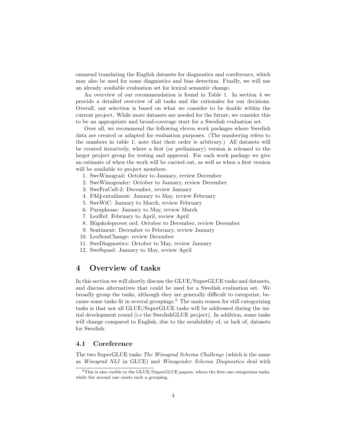ommend translating the English datasets for diagnostics and coreference, which may also be used for some diagnostics and bias detection. Finally, we will use an already available evaluation set for lexical semantic change.

An overview of our recommendation is found in Table 1. In section 4 we provide a detailed overview of all tasks and the rationales for our decisions. Overall, our selection is based on what we consider to be doable within the current project. While more datasets are needed for the future, we consider this to be an appropriate and broad-coverage start for a Swedish evaluation set.

Over all, we recommend the following eleven work packages where Swedish data are created or adapted for evaluation purposes. (The numbering refers to the numbers in table 1; note that their order is arbitrary.) All datasets will be created iteratively, where a first (or preliminary) version is released to the larger project group for testing and approval. For each work package we give an estimate of when the work will be carried out, as well as when a first version will be available to project members.

- 1. SweWinograd: October to January, review December
- 2. SweWinogender: October to January, review December
- 3. SweFraCaS-2: December, review January
- 4. FAQ-entailment: January to May, review February
- 5. SweWiC: January to March, review February
- 6. Paraphrase: January to May, review March
- 7. LexRel: February to April, review April
- 8. Högskoleprovet ord: October to December, review December
- 9. Sentiment: December to February, review January
- 10. LexSemChange: review December
- 11. SweDiagnostics: October to May, review January
- 12. SweSquad: January to May, review April

## 4 Overview of tasks

In this section we will shortly discuss the GLUE/SuperGLUE tasks and datasets, and discuss alternatives that could be used for a Swedish evaluation set. We broadly group the tasks, although they are generally difficult to categorize, because some tasks fit in several groupings.<sup>3</sup> The main reason for still categorizing tasks is that not all GLUE/SuperGLUE tasks will be addressed during the initial development round (i.e the SwedishGLUE project). In addition, some tasks will change compared to English, due to the availability of, or lack of, datasets for Swedish.

#### 4.1 Coreference

The two SuperGLUE tasks The Winograd Schema Challenge (which is the same as Winograd NLI in GLUE) and Winogender Schema Diagnostics deal with

<sup>3</sup>This is also visible in the GLUE/SuperGLUE papers, where the first one categorizes tasks, while the second one omits such a grouping.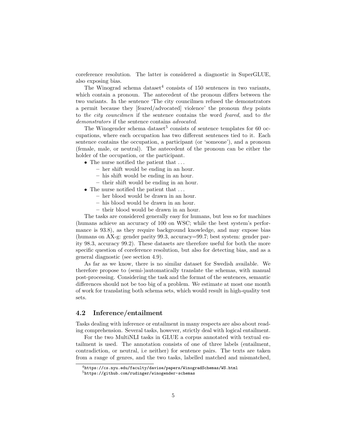coreference resolution. The latter is considered a diagnostic in SuperGLUE, also exposing bias.

The Winograd schema dataset<sup>4</sup> consists of  $150$  sentences in two variants, which contain a pronoun. The antecedent of the pronoun differs between the two variants. In the sentence 'The city councilmen refused the demonstrators a permit because they [feared/advocated] violence' the pronoun they points to the city councilmen if the sentence contains the word feared, and to the demonstrators if the sentence contains advocated.

The Winogender schema dataset<sup>5</sup> consists of sentence templates for 60 occupations, where each occupation has two different sentences tied to it. Each sentence contains the occupation, a participant (or 'someone'), and a pronoun (female, male, or neutral). The antecedent of the pronoun can be either the holder of the occupation, or the participant.

- The nurse notified the patient that ...
	- her shift would be ending in an hour.
	- his shift would be ending in an hour.
	- their shift would be ending in an hour.
- The nurse notified the patient that ...
	- her blood would be drawn in an hour.
	- his blood would be drawn in an hour.
	- their blood would be drawn in an hour.

The tasks are considered generally easy for humans, but less so for machines (humans achieve an accuracy of 100 on WSC; while the best system's performance is 93.8), as they require background knowledge, and may expose bias (humans on AX-g: gender parity 99.3, accuracy=99.7; best system: gender parity 98.3, accuracy 99.2). These datasets are therefore useful for both the more specific question of coreference resolution, but also for detecting bias, and as a general diagnostic (see section 4.9).

As far as we know, there is no similar dataset for Swedish available. We therefore propose to (semi-)automatically translate the schemas, with manual post-processing. Considering the task and the format of the sentences, semantic differences should not be too big of a problem. We estimate at most one month of work for translating both schema sets, which would result in high-quality test sets.

#### 4.2 Inference/entailment

Tasks dealing with inference or entailment in many respects are also about reading comprehension. Several tasks, however, strictly deal with logical entailment.

For the two MultiNLI tasks in GLUE a corpus annotated with textual entailment is used. The annotation consists of one of three labels (entailment, contradiction, or neutral, i.e neither) for sentence pairs. The texts are taken from a range of genres, and the two tasks, labelled matched and mismatched,

 $^4$ https://cs.nyu.edu/faculty/davise/papers/WinogradSchemas/WS.html

<sup>5</sup>https://github.com/rudinger/winogender-schemas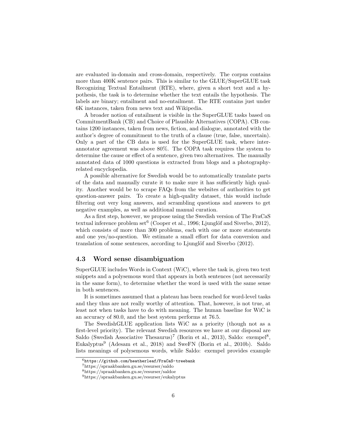are evaluated in-domain and cross-domain, respectively. The corpus contains more than 400K sentence pairs. This is similar to the GLUE/SuperGLUE task Recognizing Textual Entailment (RTE), where, given a short text and a hypothesis, the task is to determine whether the text entails the hypothesis. The labels are binary; entailment and no-entailment. The RTE contains just under 6K instances, taken from news text and Wikipedia.

A broader notion of entailment is visible in the SuperGLUE tasks based on CommitmentBank (CB) and Choice of Plausible Alternatives (COPA). CB contains 1200 instances, taken from news, fiction, and dialogue, annotated with the author's degree of commitment to the truth of a clause (true, false, uncertain). Only a part of the CB data is used for the SuperGLUE task, where interannotator agreement was above 80%. The COPA task requires the system to determine the cause or effect of a sentence, given two alternatives. The manually annotated data of 1000 questions is extracted from blogs and a photographyrelated encyclopedia.

A possible alternative for Swedish would be to automatically translate parts of the data and manually curate it to make sure it has sufficiently high quality. Another would be to scrape FAQs from the websites of authorities to get question-answer pairs. To create a high-quality dataset, this would include filtering out very long answers, and scrambling questions and answers to get negative examples, as well as additional manual curation.

As a first step, however, we propose using the Swedish version of The FraCaS textual inference problem  $set^6$  (Cooper et al., 1996; Ljunglöf and Siverbo, 2012), which consists of more than 300 problems, each with one or more statements and one yes/no-question. We estimate a small effort for data conversion and translation of some sentences, according to Ljunglöf and Siverbo (2012).

#### 4.3 Word sense disambiguation

SuperGLUE includes Words in Context (WiC), where the task is, given two text snippets and a polysemous word that appears in both sentences (not necessarily in the same form), to determine whether the word is used with the same sense in both sentences.

It is sometimes assumed that a plateau has been reached for word-level tasks and they thus are not really worthy of attention. That, however, is not true, at least not when tasks have to do with meaning. The human baseline for WiC is an accuracy of 80.0, and the best system performs at 76.5.

The SwedishGLUE application lists WiC as a priority (though not as a first-level priority). The relevant Swedish resources we have at our disposal are Saldo (Swedish Associative Thesaurus)<sup>7</sup> (Borin et al., 2013), Saldo: exempel<sup>8</sup>, Eukalyptus<sup>9</sup> (Adesam et al., 2018) and SweFN (Borin et al., 2010b). Saldo lists meanings of polysemous words, while Saldo: exempel provides example

 $^6$ https://github.com/heatherleaf/FraCaS-treebank

<sup>7</sup>https://spraakbanken.gu.se/resurser/saldo

<sup>8</sup>https://spraakbanken.gu.se/resurser/saldoe

<sup>9</sup>https://spraakbanken.gu.se/resurser/eukalyptus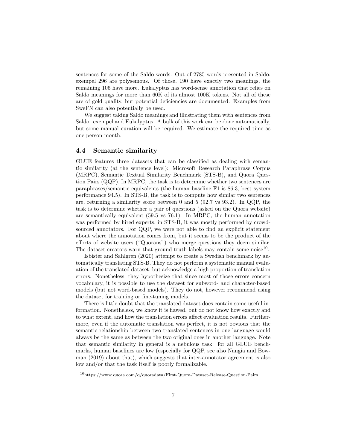sentences for some of the Saldo words. Out of 2785 words presented in Saldo: exempel 296 are polysemous. Of those, 190 have exactly two meanings, the remaining 106 have more. Eukalyptus has word-sense annotation that relies on Saldo meanings for more than 60K of its almost 100K tokens. Not all of these are of gold quality, but potential deficiencies are documented. Examples from SweFN can also potentially be used.

We suggest taking Saldo meanings and illustrating them with sentences from Saldo: exempel and Eukalyptus. A bulk of this work can be done automatically, but some manual curation will be required. We estimate the required time as one person month.

#### 4.4 Semantic similarity

GLUE features three datasets that can be classified as dealing with semantic similarity (at the sentence level): Microsoft Research Paraphrase Corpus (MRPC), Semantic Textual Similarity Benchmark (STS-B), and Quora Question Pairs (QQP). In MRPC, the task is to determine whether two sentences are paraphrases/semantic equivalents (the human baseline F1 is 86.3, best system performance 94.5). In STS-B, the task is to compute how similar two sentences are, returning a similarity score between 0 and 5 (92.7 vs 93.2). In QQP, the task is to determine whether a pair of questions (asked on the Quora website) are semantically equivalent (59.5 vs 76.1). In MRPC, the human annotation was performed by hired experts, in STS-B, it was mostly performed by crowdsourced annotators. For QQP, we were not able to find an explicit statement about where the annotation comes from, but it seems to be the product of the efforts of website users ("Quorans") who merge questions they deem similar. The dataset creators warn that ground-truth labels may contain some noise<sup>10</sup>.

Isbister and Sahlgren (2020) attempt to create a Swedish benchmark by automatically translating STS-B. They do not perform a systematic manual evaluation of the translated dataset, but acknowledge a high proportion of translation errors. Nonetheless, they hypothesize that since most of those errors concern vocabulary, it is possible to use the dataset for subword- and character-based models (but not word-based models). They do not, however recommend using the dataset for training or fine-tuning models.

There is little doubt that the translated dataset does contain some useful information. Nonetheless, we know it is flawed, but do not know how exactly and to what extent, and how the translation errors affect evaluation results. Furthermore, even if the automatic translation was perfect, it is not obvious that the semantic relationship between two translated sentences in one language would always be the same as between the two original ones in another language. Note that semantic similarity in general is a nebulous task: for all GLUE benchmarks, human baselines are low (especially for QQP, see also Nangia and Bowman (2019) about that), which suggests that inter-annotator agreement is also low and/or that the task itself is poorly formalizable.

<sup>10</sup>https://www.quora.com/q/quoradata/First-Quora-Dataset-Release-Question-Pairs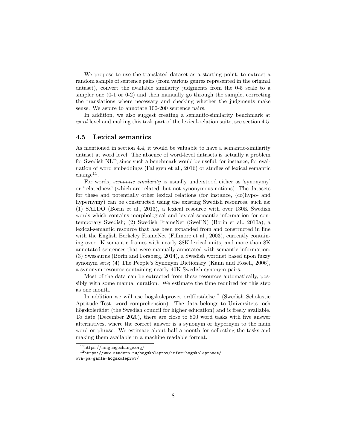We propose to use the translated dataset as a starting point, to extract a random sample of sentence pairs (from various genres represented in the original dataset), convert the available similarity judgments from the 0-5 scale to a simpler one (0-1 or 0-2) and then manually go through the sample, correcting the translations where necessary and checking whether the judgments make sense. We aspire to annotate 100-200 sentence pairs.

In addition, we also suggest creating a semantic-similarity benchmark at word level and making this task part of the lexical-relation suite, see section 4.5.

#### 4.5 Lexical semantics

As mentioned in section 4.4, it would be valuable to have a semantic-similarity dataset at word level. The absence of word-level datasets is actually a problem for Swedish NLP, since such a benchmark would be useful, for instance, for evaluation of word embeddings (Fallgren et al., 2016) or studies of lexical semantic  $change<sup>11</sup>$ .

For words, semantic similarity is usually understood either as 'synonymy' or 'relatedness' (which are related, but not synonymous notions). The datasets for these and potentially other lexical relations (for instance, (co)hypo- and hypernymy) can be constructed using the existing Swedish resources, such as: (1) SALDO (Borin et al., 2013), a lexical resource with over 130K Swedish words which contains morphological and lexical-semantic information for contemporary Swedish; (2) Swedish FrameNet (SweFN) (Borin et al., 2010a), a lexical-semantic resource that has been expanded from and constructed in line with the English Berkeley FrameNet (Fillmore et al., 2003), currently containing over 1K semantic frames with nearly 38K lexical units, and more than 8K annotated sentences that were manually annotated with semantic information; (3) Swesaurus (Borin and Forsberg, 2014), a Swedish wordnet based upon fuzzy synonym sets; (4) The People's Synonym Dictionary (Kann and Rosell, 2006), a synonym resource containing nearly 40K Swedish synonym pairs.

Most of the data can be extracted from these resources automatically, possibly with some manual curation. We estimate the time required for this step as one month.

In addition we will use högskoleprovet ordförståelse<sup>12</sup> (Swedish Scholastic Aptitude Test, word comprehension). The data belongs to Universitets- och högskolerådet (the Swedish council for higher education) and is freely available. To date (December 2020), there are close to 800 word tasks with five answer alternatives, where the correct answer is a synonym or hypernym to the main word or phrase. We estimate about half a month for collecting the tasks and making them available in a machine readable format.

<sup>11</sup>https://languagechange.org/

 $12$ https://www.studera.nu/hogskoleprov/infor-hogskoleprovet/ ova-pa-gamla-hogskoleprov/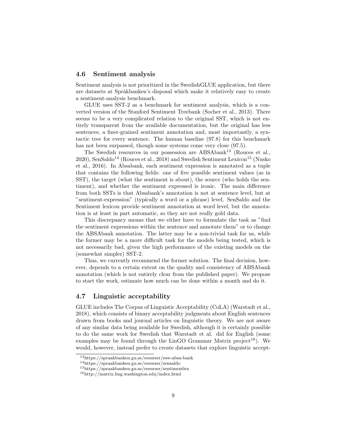#### 4.6 Sentiment analysis

Sentiment analysis is not prioritized in the SwedishGLUE application, but there are datasets at Språkbanken's disposal which make it relatively easy to create a sentiment-analysis benchmark.

GLUE uses SST-2 as a benchmark for sentiment analysis, which is a converted version of the Stanford Sentiment Treebank (Socher et al., 2013). There seems to be a very complicated relation to the original SST, which is not entirely transparent from the available documentation, but the original has less sentences, a finer-grained sentiment annotation and, most importantly, a syntactic tree for every sentence. The human baseline (97.8) for this benchmark has not been surpassed, though some systems come very close (97.5).

The Swedish resources in our possession are ABSAbank<sup>13</sup> (Rouces et al.,  $2020$ ), SenSaldo<sup>14</sup> (Rouces et al., 2018) and Swedish Sentiment Lexicon<sup>15</sup> (Nusko et al., 2016). In Absabank, each sentiment expression is annotated as a tuple that contains the following fields: one of five possible sentiment values (as in SST), the target (what the sentiment is about), the source (who holds the sentiment), and whether the sentiment expressed is ironic. The main difference from both SSTs is that Absabank's annotation is not at sentence level, but at "sentiment-expression" (typically a word or a phrase) level. SenSaldo and the Sentiment lexicon provide sentiment annotation at word level, but the annotation is at least in part automatic, so they are not really gold data.

This discrepancy means that we either have to formulate the task as "find the sentiment expressions within the sentence and annotate them" or to change the ABSAbank annotation. The latter may be a non-trivial task for us, while the former may be a more difficult task for the models being tested, which is not necessarily bad, given the high performance of the existing models on the (somewhat simpler) SST-2.

Thus, we currently recommend the former solution. The final decision, however, depends to a certain extent on the quality and consistency of ABSAbank annotation (which is not entirely clear from the published paper). We propose to start the work, estimate how much can be done within a month and do it.

#### 4.7 Linguistic acceptability

GLUE includes The Corpus of Linguistic Acceptability (CoLA) (Warstadt et al., 2018), which consists of binary acceptability judgments about English sentences drawn from books and journal articles on linguistic theory. We are not aware of any similar data being available for Swedish, although it is certainly possible to do the same work for Swedish that Warstadt et al. did for English (some examples may be found through the LinGO Grammar Matrix project<sup>16</sup>). We would, however, instead prefer to create datasets that explore linguistic accept-

<sup>13</sup>https://spraakbanken.gu.se/resurser/swe-absa-bank

<sup>14</sup>https://spraakbanken.gu.se/resurser/sensaldo

<sup>15</sup>https://spraakbanken.gu.se/resurser/sentimentlex

<sup>16</sup>http://matrix.ling.washington.edu/index.html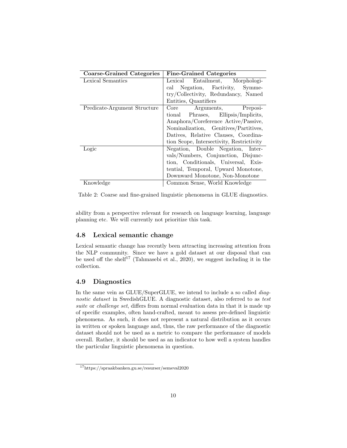| <b>Coarse-Grained Categories</b> | <b>Fine-Grained Categories</b>            |  |  |
|----------------------------------|-------------------------------------------|--|--|
| Lexical Semantics                | Entailment, Morphologi-<br>Lexical        |  |  |
|                                  | cal Negation, Factivity,<br>Symme-        |  |  |
|                                  | try/Collectivity, Redundancy, Named       |  |  |
|                                  | Entities, Quantifiers                     |  |  |
| Predicate-Argument Structure     | Arguments, Preposi-<br>Core               |  |  |
|                                  | tional Phrases, Ellipsis/Implicits,       |  |  |
|                                  | Anaphora/Coreference Active/Passive,      |  |  |
|                                  | Nominalization, Genitives/Partitives,     |  |  |
|                                  | Datives, Relative Clauses, Coordina-      |  |  |
|                                  | tion Scope, Intersectivity, Restrictivity |  |  |
| Logic                            | Negation, Double Negation, Inter-         |  |  |
|                                  | vals/Numbers, Conjunction, Disjunc-       |  |  |
|                                  | tion, Conditionals, Universal, Exis-      |  |  |
|                                  | tential, Temporal, Upward Monotone,       |  |  |
|                                  | Downward Monotone, Non-Monotone           |  |  |
| Knowledge                        | Common Sense, World Knowledge             |  |  |

Table 2: Coarse and fine-grained linguistic phenomena in GLUE diagnostics.

ability from a perspective relevant for research on language learning, language planning etc. We will currently not prioritize this task.

#### 4.8 Lexical semantic change

Lexical semantic change has recently been attracting increasing attention from the NLP community. Since we have a gold dataset at our disposal that can be used off the shelf<sup>17</sup> (Tahmasebi et al., 2020), we suggest including it in the collection.

#### 4.9 Diagnostics

In the same vein as GLUE/SuperGLUE, we intend to include a so called *diag*nostic dataset in SwedishGLUE. A diagnostic dataset, also referred to as test suite or *challenge set*, differs from normal evaluation data in that it is made up of specific examples, often hand-crafted, meant to assess pre-defined linguistic phenomena. As such, it does not represent a natural distribution as it occurs in written or spoken language and, thus, the raw performance of the diagnostic dataset should not be used as a metric to compare the performance of models overall. Rather, it should be used as an indicator to how well a system handles the particular linguistic phenomena in question.

<sup>17</sup>https://spraakbanken.gu.se/resurser/semeval2020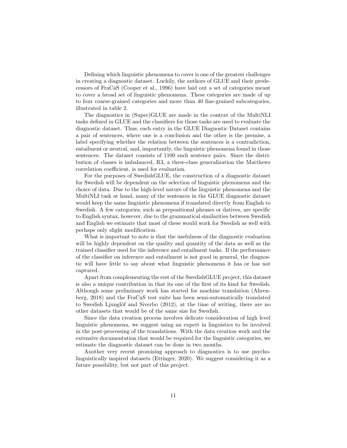Defining which linguistic phenomena to cover is one of the greatest challenges in creating a diagnostic dataset. Luckily, the authors of GLUE and their predecessors of FraCaS (Cooper et al., 1996) have laid out a set of categories meant to cover a broad set of linguistic phenomena. These categories are made of up to four coarse-grained categories and more than 40 fine-grained subcategories, illustrated in table 2.

The diagnostics in (Super)GLUE are made in the context of the MultiNLI tasks defined in GLUE and the classifiers for those tasks are used to evaluate the diagnostic dataset. Thus, each entry in the GLUE Diagnostic Dataset contains a pair of sentences, where one is a conclusion and the other is the premise, a label specifying whether the relation between the sentences is a contradiction, entailment or neutral, and, importantly, the linguistic phenomena found in those sentences. The dataset consists of 1100 such sentence pairs. Since the distribution of classes is imbalanced, R3, a three-class generalization the Matthews correlation coefficient, is used for evaluation.

For the purposes of SwedishGLUE, the construction of a diagnostic dataset for Swedish will be dependent on the selection of linguistic phenomena and the choice of data. Due to the high-level nature of the linguistic phenomena and the MultiNLI task at hand, many of the sentences in the GLUE diagnostic dataset would keep the same linguistic phenomena if translated directly from English to Swedish. A few categories, such as prepositional phrases or datives, are specific to English syntax, however, due to the grammatical similarities between Swedish and English we estimate that most of these would work for Swedish as well with perhaps only slight modification.

What is important to note is that the usefulness of the diagnostic evaluation will be highly dependent on the quality and quantity of the data as well as the trained classifier used for the inference and entailment tasks. If the performance of the classifier on inference and entailment is not good in general, the diagnostic will have little to say about what linguistic phenomena it has or has not captured.

Apart from complementing the rest of the SwedishGLUE project, this dataset is also a unique contribution in that its one of the first of its kind for Swedish. Although some preliminary work has started for machine translation (Ahrenberg, 2018) and the FraCaS test suite has been semi-automatically translated to Swedish Ljunglöf and Siverbo  $(2012)$ , at the time of writing, there are no other datasets that would be of the same size for Swedish.

Since the data creation process involves delicate consideration of high level linguistic phenomena, we suggest using an expert in linguistics to be involved in the post-processing of the translations. With the data creation work and the extensive documentation that would be required for the linguistic categories, we estimate the diagnostic dataset can be done in two months.

Another very recent promising approach to diagnostics is to use psycholinguistically inspired datasets (Ettinger, 2020). We suggest considering it as a future possibility, but not part of this project.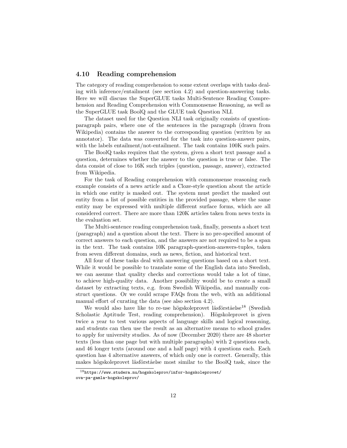#### 4.10 Reading comprehension

The category of reading comprehension to some extent overlaps with tasks dealing with inference/entailment (see section 4.2) and question-answering tasks. Here we will discuss the SuperGLUE tasks Multi-Sentence Reading Comprehension and Reading Comprehension with Commonsense Reasoning, as well as the SuperGLUE task BoolQ and the GLUE task Question NLI.

The dataset used for the Question NLI task originally consists of questionparagraph pairs, where one of the sentences in the paragraph (drawn from Wikipedia) contains the answer to the corresponding question (written by an annotator). The data was converted for the task into question-answer pairs, with the labels entailment/not-entailment. The task contains  $100K$  such pairs.

The BoolQ tasks requires that the system, given a short text passage and a question, determines whether the answer to the question is true or false. The data consist of close to 16K such triples (question, passage, answer), extracted from Wikipedia.

For the task of Reading comprehension with commonsense reasoning each example consists of a news article and a Cloze-style question about the article in which one entity is masked out. The system must predict the masked out entity from a list of possible entities in the provided passage, where the same entity may be expressed with multiple different surface forms, which are all considered correct. There are more than 120K articles taken from news texts in the evaluation set.

The Multi-sentence reading comprehension task, finally, presents a short text (paragraph) and a question about the text. There is no pre-specified amount of correct answers to each question, and the answers are not required to be a span in the text. The task contains 10K paragraph-question-answers-tuples, taken from seven different domains, such as news, fiction, and historical text.

All four of these tasks deal with answering questions based on a short text. While it would be possible to translate some of the English data into Swedish, we can assume that quality checks and corrections would take a lot of time, to achieve high-quality data. Another possibility would be to create a small dataset by extracting texts, e.g. from Swedish Wikipedia, and manually construct questions. Or we could scrape FAQs from the web, with an additional manual effort of curating the data (see also section 4.2).

We would also have like to re-use högskoleprovet läsförståelse<sup>18</sup> (Swedish Scholastic Aptitude Test, reading comprehension). Högskoleprovet is given twice a year to test various aspects of language skills and logical reasoning, and students can then use the result as an alternative means to school grades to apply for university studies. As of now (December 2020) there are 48 shorter texts (less than one page but with multiple paragraphs) with 2 questions each, and 46 longer texts (around one and a half page) with 4 questions each. Each question has 4 alternative answers, of which only one is correct. Generally, this makes högskoleprovet läsförståelse most similar to the BoolQ task, since the

<sup>18</sup>https://www.studera.nu/hogskoleprov/infor-hogskoleprovet/

ova-pa-gamla-hogskoleprov/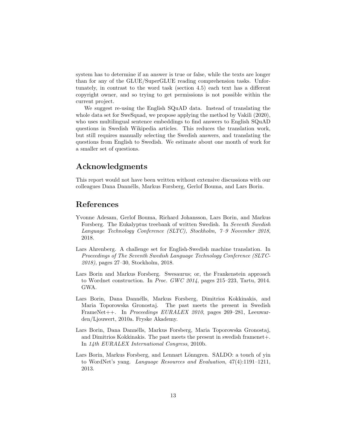system has to determine if an answer is true or false, while the texts are longer than for any of the GLUE/SuperGLUE reading comprehension tasks. Unfortunately, in contrast to the word task (section 4.5) each text has a different copyright owner, and so trying to get permissions is not possible within the current project.

We suggest re-using the English SQuAD data. Instead of translating the whole data set for SweSquad, we propose applying the method by Vakili (2020), who uses multilingual sentence embeddings to find answers to English SQuAD questions in Swedish Wikipedia articles. This reduces the translation work, but still requires manually selecting the Swedish answers, and translating the questions from English to Swedish. We estimate about one month of work for a smaller set of questions.

## Acknowledgments

This report would not have been written without extensive discussions with our colleagues Dana Dannélls, Markus Forsberg, Gerlof Bouma, and Lars Borin.

## References

- Yvonne Adesam, Gerlof Bouma, Richard Johansson, Lars Borin, and Markus Forsberg. The Eukalyptus treebank of written Swedish. In Seventh Swedish Language Technology Conference (SLTC), Stockholm, 7–9 November 2018, 2018.
- Lars Ahrenberg. A challenge set for English-Swedish machine translation. In Proceedings of The Seventh Swedish Language Technology Conference (SLTC-2018), pages 27–30, Stockholm, 2018.
- Lars Borin and Markus Forsberg. Swesaurus; or, the Frankenstein approach to Wordnet construction. In Proc. GWC 2014, pages 215–223, Tartu, 2014. GWA.
- Lars Borin, Dana Dannélls, Markus Forsberg, Dimitrios Kokkinakis, and Maria Toporowska Gronostaj. The past meets the present in Swedish FrameNet++. In Proceedings EURALEX 2010, pages 269–281, Leeuwarden/Ljouwert, 2010a. Fryske Akademy.
- Lars Borin, Dana Dann´ells, Markus Forsberg, Maria Toporowska Gronostaj, and Dimitrios Kokkinakis. The past meets the present in swedish framenet +. In 14th EURALEX International Congress, 2010b.
- Lars Borin, Markus Forsberg, and Lennart Lönngren. SALDO: a touch of yin to WordNet's yang. Language Resources and Evaluation, 47(4):1191–1211, 2013.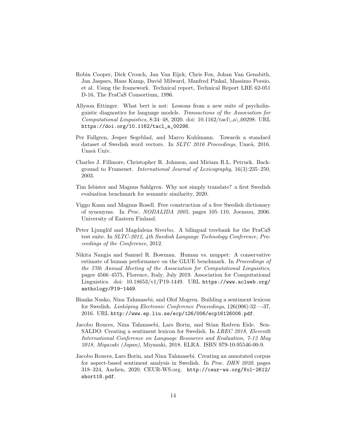- Robin Cooper, Dick Crouch, Jan Van Eijck, Chris Fox, Johan Van Genabith, Jan Jaspars, Hans Kamp, David Milward, Manfred Pinkal, Massimo Poesio, et al. Using the framework. Technical report, Technical Report LRE 62-051 D-16, The FraCaS Consortium, 1996.
- Allyson Ettinger. What bert is not: Lessons from a new suite of psycholinguistic diagnostics for language models. Transactions of the Association for Computational Linguistics, 8:34–48, 2020. doi:  $10.1162/\text{t}$ acl $\alpha$ . 00298. URL https://doi.org/10.1162/tacl\_a\_00298.
- Per Fallgren, Jesper Segeblad, and Marco Kuhlmann. Towards a standard dataset of Swedish word vectors. In SLTC 2016 Proceedings, Umeå, 2016. Umeå Univ.
- Charles J. Fillmore, Christopher R. Johnson, and Miriam R.L. Petruck. Background to Framenet. International Journal of Lexicography, 16(3):235–250, 2003.
- Tim Isbister and Magnus Sahlgren. Why not simply translate? a first Swedish evaluation benchmark for semantic similarity, 2020.
- Viggo Kann and Magnus Rosell. Free construction of a free Swedish dictionary of synonyms. In Proc. NODALIDA 2005, pages 105–110, Joensuu, 2006. University of Eastern Finland.
- Peter Ljunglöf and Magdalena Siverbo. A bilingual treebank for the FraCaS test suite. In SLTC-2012, 4th Swedish Language Technology Conference, Proceedings of the Conference, 2012.
- Nikita Nangia and Samuel R. Bowman. Human vs. muppet: A conservative estimate of human performance on the GLUE benchmark. In Proceedings of the 57th Annual Meeting of the Association for Computational Linguistics, pages 4566–4575, Florence, Italy, July 2019. Association for Computational Linguistics. doi:  $10.18653/v1/P19-1449$ . URL https://www.aclweb.org/ anthology/P19-1449.
- Bianka Nusko, Nina Tahmasebi, and Olof Mogren. Building a sentiment lexicon for Swedish. Linköping Electronic Conference Proceedings, 126(006):32—37, 2016. URL http://www.ep.liu.se/ecp/126/006/ecp16126006.pdf.
- Jacobo Rouces, Nina Tahmasebi, Lars Borin, and Stian Rødven Eide. Sen-SALDO: Creating a sentiment lexicon for Swedish. In LREC 2018, Eleventh International Conference on Language Resources and Evaluation, 7-12 May 2018, Miyazaki (Japan), Miyazaki, 2018. ELRA. ISBN 979-10-95546-00-9.
- Jacobo Rouces, Lars Borin, and Nina Tahmasebi. Creating an annotated corpus for aspect-based sentiment analysis in Swedish. In Proc. DHN 2020, pages 318–324, Aachen, 2020. CEUR-WS.org. http://ceur-ws.org/Vol-2612/ short18.pdf.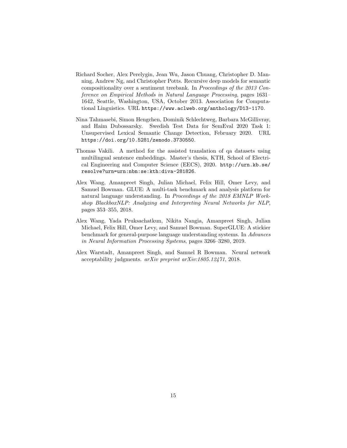- Richard Socher, Alex Perelygin, Jean Wu, Jason Chuang, Christopher D. Manning, Andrew Ng, and Christopher Potts. Recursive deep models for semantic compositionality over a sentiment treebank. In Proceedings of the 2013 Conference on Empirical Methods in Natural Language Processing, pages 1631– 1642, Seattle, Washington, USA, October 2013. Association for Computational Linguistics. URL https://www.aclweb.org/anthology/D13-1170.
- Nina Tahmasebi, Simon Hengchen, Dominik Schlechtweg, Barbara McGillivray, and Haim Dubossarsky. Swedish Test Data for SemEval 2020 Task 1: Unsupervised Lexical Semantic Change Detection, February 2020. URL https://doi.org/10.5281/zenodo.3730550.
- Thomas Vakili. A method for the assisted translation of qa datasets using multilingual sentence embeddings. Master's thesis, KTH, School of Electrical Engineering and Computer Science (EECS), 2020. http://urn.kb.se/ resolve?urn=urn:nbn:se:kth:diva-281826.
- Alex Wang, Amanpreet Singh, Julian Michael, Felix Hill, Omer Levy, and Samuel Bowman. GLUE: A multi-task benchmark and analysis platform for natural language understanding. In Proceedings of the 2018 EMNLP Workshop BlackboxNLP: Analyzing and Interpreting Neural Networks for NLP, pages 353–355, 2018.
- Alex Wang, Yada Pruksachatkun, Nikita Nangia, Amanpreet Singh, Julian Michael, Felix Hill, Omer Levy, and Samuel Bowman. SuperGLUE: A stickier benchmark for general-purpose language understanding systems. In Advances in Neural Information Processing Systems, pages 3266–3280, 2019.
- Alex Warstadt, Amanpreet Singh, and Samuel R Bowman. Neural network acceptability judgments. arXiv preprint arXiv:1805.12471, 2018.